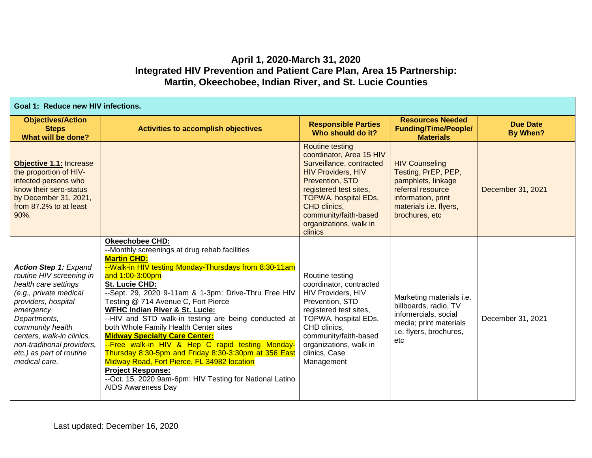## **April 1, 2020-March 31, 2020 Integrated HIV Prevention and Patient Care Plan, Area 15 Partnership: Martin, Okeechobee, Indian River, and St. Lucie Counties**

| Goal 1: Reduce new HIV infections.                                                                                                                                                                                                                                                         |                                                                                                                                                                                                                                                                                                                                                                                                                                                                                                                                                                                                                                                                                                                                                                  |                                                                                                                                                                                                                                                                       |                                                                                                                                                           |                             |
|--------------------------------------------------------------------------------------------------------------------------------------------------------------------------------------------------------------------------------------------------------------------------------------------|------------------------------------------------------------------------------------------------------------------------------------------------------------------------------------------------------------------------------------------------------------------------------------------------------------------------------------------------------------------------------------------------------------------------------------------------------------------------------------------------------------------------------------------------------------------------------------------------------------------------------------------------------------------------------------------------------------------------------------------------------------------|-----------------------------------------------------------------------------------------------------------------------------------------------------------------------------------------------------------------------------------------------------------------------|-----------------------------------------------------------------------------------------------------------------------------------------------------------|-----------------------------|
| <b>Objectives/Action</b><br><b>Steps</b><br>What will be done?                                                                                                                                                                                                                             | <b>Activities to accomplish objectives</b>                                                                                                                                                                                                                                                                                                                                                                                                                                                                                                                                                                                                                                                                                                                       | <b>Responsible Parties</b><br>Who should do it?                                                                                                                                                                                                                       | <b>Resources Needed</b><br><b>Funding/Time/People/</b><br><b>Materials</b>                                                                                | <b>Due Date</b><br>By When? |
| Objective 1.1: Increase<br>the proportion of HIV-<br>infected persons who<br>know their sero-status<br>by December 31, 2021,<br>from 87.2% to at least<br>90%.                                                                                                                             |                                                                                                                                                                                                                                                                                                                                                                                                                                                                                                                                                                                                                                                                                                                                                                  | <b>Routine testing</b><br>coordinator, Area 15 HIV<br>Surveillance, contracted<br><b>HIV Providers, HIV</b><br><b>Prevention, STD</b><br>registered test sites,<br>TOPWA, hospital EDs,<br>CHD clinics,<br>community/faith-based<br>organizations, walk in<br>clinics | <b>HIV Counseling</b><br>Testing, PrEP, PEP,<br>pamphlets, linkage<br>referral resource<br>information, print<br>materials i.e. flyers,<br>brochures, etc | December 31, 2021           |
| <b>Action Step 1: Expand</b><br>routine HIV screening in<br>health care settings<br>(e.g., private medical<br>providers, hospital<br>emergency<br>Departments,<br>community health<br>centers, walk-in clinics,<br>non-traditional providers,<br>etc.) as part of routine<br>medical care. | <b>Okeechobee CHD:</b><br>--Monthly screenings at drug rehab facilities<br><b>Martin CHD:</b><br>--Walk-in HIV testing Monday-Thursdays from 8:30-11am<br>and 1:00-3:00pm<br>St. Lucie CHD:<br>--Sept. 29, 2020 9-11am & 1-3pm: Drive-Thru Free HIV<br>Testing @ 714 Avenue C, Fort Pierce<br><b>WFHC Indian River &amp; St. Lucie:</b><br>--HIV and STD walk-in testing are being conducted at<br>both Whole Family Health Center sites<br><b>Midway Specialty Care Center:</b><br>--Free walk-in HIV & Hep C rapid testing Monday-<br>Thursday 8:30-5pm and Friday 8:30-3:30pm at 356 East<br>Midway Road, Fort Pierce, FL 34982 location<br><b>Project Response:</b><br>--Oct. 15, 2020 9am-6pm: HIV Testing for National Latino<br><b>AIDS Awareness Day</b> | Routine testing<br>coordinator, contracted<br>HIV Providers, HIV<br>Prevention, STD<br>registered test sites,<br>TOPWA, hospital EDs,<br>CHD clinics,<br>community/faith-based<br>organizations, walk in<br>clinics, Case<br>Management                               | Marketing materials i.e.<br>billboards, radio, TV<br>infomercials, social<br>media; print materials<br>i.e. flyers, brochures,<br>etc                     | December 31, 2021           |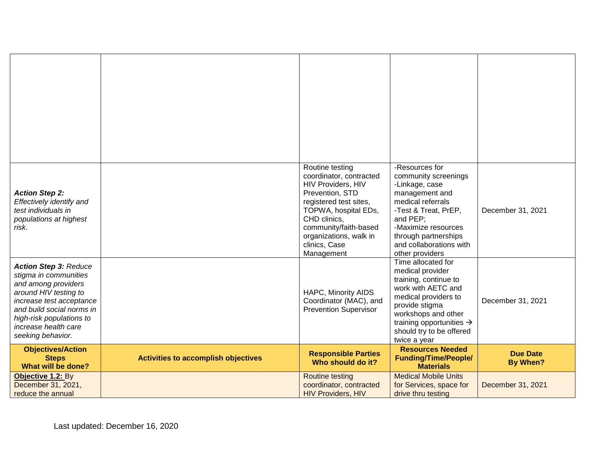| <b>Action Step 2:</b><br>Effectively identify and<br>test individuals in<br>populations at highest<br>risk.                                                                                                                             |                                            | Routine testing<br>coordinator, contracted<br><b>HIV Providers, HIV</b><br>Prevention, STD<br>registered test sites,<br>TOPWA, hospital EDs,<br>CHD clinics,<br>community/faith-based<br>organizations, walk in<br>clinics, Case<br>Management | -Resources for<br>community screenings<br>-Linkage, case<br>management and<br>medical referrals<br>-Test & Treat, PrEP,<br>and PEP;<br>-Maximize resources<br>through partnerships<br>and collaborations with<br>other providers           | December 31, 2021                  |
|-----------------------------------------------------------------------------------------------------------------------------------------------------------------------------------------------------------------------------------------|--------------------------------------------|------------------------------------------------------------------------------------------------------------------------------------------------------------------------------------------------------------------------------------------------|--------------------------------------------------------------------------------------------------------------------------------------------------------------------------------------------------------------------------------------------|------------------------------------|
| <b>Action Step 3: Reduce</b><br>stigma in communities<br>and among providers<br>around HIV testing to<br>increase test acceptance<br>and build social norms in<br>high-risk populations to<br>increase health care<br>seeking behavior. |                                            | HAPC, Minority AIDS<br>Coordinator (MAC), and<br><b>Prevention Supervisor</b>                                                                                                                                                                  | Time allocated for<br>medical provider<br>training, continue to<br>work with AETC and<br>medical providers to<br>provide stigma<br>workshops and other<br>training opportunities $\rightarrow$<br>should try to be offered<br>twice a year | December 31, 2021                  |
| <b>Objectives/Action</b><br><b>Steps</b><br>What will be done?                                                                                                                                                                          | <b>Activities to accomplish objectives</b> | <b>Responsible Parties</b><br>Who should do it?                                                                                                                                                                                                | <b>Resources Needed</b><br><b>Funding/Time/People/</b><br><b>Materials</b>                                                                                                                                                                 | <b>Due Date</b><br><b>By When?</b> |
| Objective 1.2: By<br>December 31, 2021,<br>reduce the annual                                                                                                                                                                            |                                            | <b>Routine testing</b><br>coordinator, contracted<br><b>HIV Providers, HIV</b>                                                                                                                                                                 | <b>Medical Mobile Units</b><br>for Services, space for<br>drive thru testing                                                                                                                                                               | December 31, 2021                  |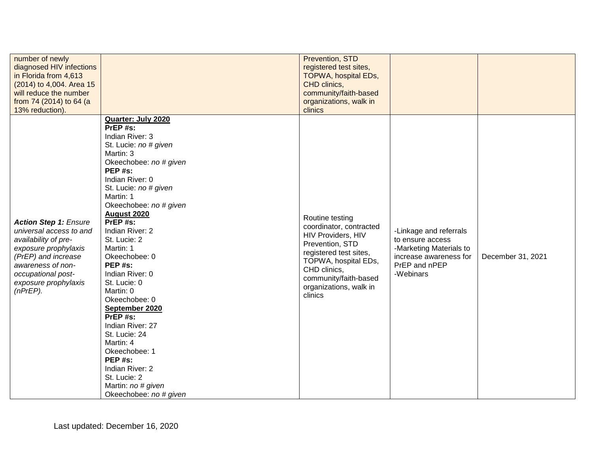| number of newly<br>diagnosed HIV infections<br>in Florida from 4,613<br>(2014) to 4,004. Area 15<br>will reduce the number<br>from 74 (2014) to 64 (a<br>13% reduction).                                         |                                                                                                                                                                                                                                                                                                                                                                                                                                                                                                                                                                                         | Prevention, STD<br>registered test sites,<br><b>TOPWA, hospital EDs,</b><br>CHD clinics,<br>community/faith-based<br>organizations, walk in<br>clinics                                                              |                                                                                                                               |                   |
|------------------------------------------------------------------------------------------------------------------------------------------------------------------------------------------------------------------|-----------------------------------------------------------------------------------------------------------------------------------------------------------------------------------------------------------------------------------------------------------------------------------------------------------------------------------------------------------------------------------------------------------------------------------------------------------------------------------------------------------------------------------------------------------------------------------------|---------------------------------------------------------------------------------------------------------------------------------------------------------------------------------------------------------------------|-------------------------------------------------------------------------------------------------------------------------------|-------------------|
| <b>Action Step 1: Ensure</b><br>universal access to and<br>availability of pre-<br>exposure prophylaxis<br>(PrEP) and increase<br>awareness of non-<br>occupational post-<br>exposure prophylaxis<br>$(nPrEP)$ . | Quarter: July 2020<br>PrEP#s:<br>Indian River: 3<br>St. Lucie: no # given<br>Martin: 3<br>Okeechobee: no # given<br>PEP#s:<br>Indian River: 0<br>St. Lucie: no # given<br>Martin: 1<br>Okeechobee: no # given<br><b>August 2020</b><br>PrEP#s:<br>Indian River: 2<br>St. Lucie: 2<br>Martin: 1<br>Okeechobee: 0<br>PEP#s:<br>Indian River: 0<br>St. Lucie: 0<br>Martin: 0<br>Okeechobee: 0<br>September 2020<br>PrEP#s:<br>Indian River: 27<br>St. Lucie: 24<br>Martin: 4<br>Okeechobee: 1<br>PEP#s:<br>Indian River: 2<br>St. Lucie: 2<br>Martin: no # given<br>Okeechobee: no # given | Routine testing<br>coordinator, contracted<br>HIV Providers, HIV<br>Prevention, STD<br>registered test sites,<br>TOPWA, hospital EDs,<br>CHD clinics,<br>community/faith-based<br>organizations, walk in<br>clinics | -Linkage and referrals<br>to ensure access<br>-Marketing Materials to<br>increase awareness for<br>PrEP and nPEP<br>-Webinars | December 31, 2021 |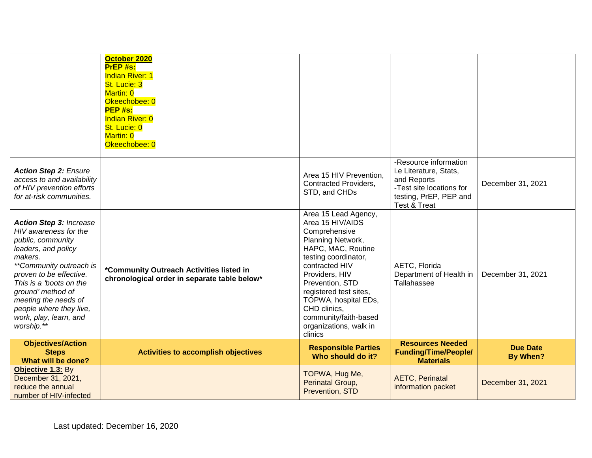|                                                                                                                                                                                                                                                                                                                 | October 2020<br>PrEP #s:<br><b>Indian River: 1</b><br>St. Lucie: 3<br>Martin: 0<br>Okeechobee: 0<br>PEP #s:<br><b>Indian River: 0</b><br>St. Lucie: 0<br>Martin: 0<br>Okeechobee: 0 |                                                                                                                                                                                                                                                                                                                     |                                                                                                                                                 |                                    |
|-----------------------------------------------------------------------------------------------------------------------------------------------------------------------------------------------------------------------------------------------------------------------------------------------------------------|-------------------------------------------------------------------------------------------------------------------------------------------------------------------------------------|---------------------------------------------------------------------------------------------------------------------------------------------------------------------------------------------------------------------------------------------------------------------------------------------------------------------|-------------------------------------------------------------------------------------------------------------------------------------------------|------------------------------------|
| <b>Action Step 2: Ensure</b><br>access to and availability<br>of HIV prevention efforts<br>for at-risk communities.                                                                                                                                                                                             |                                                                                                                                                                                     | Area 15 HIV Prevention,<br><b>Contracted Providers,</b><br>STD, and CHDs                                                                                                                                                                                                                                            | -Resource information<br>i.e Literature, Stats,<br>and Reports<br>-Test site locations for<br>testing, PrEP, PEP and<br><b>Test &amp; Treat</b> | December 31, 2021                  |
| <b>Action Step 3: Increase</b><br>HIV awareness for the<br>public, community<br>leaders, and policy<br>makers.<br>**Community outreach is<br>proven to be effective.<br>This is a 'boots on the<br>ground' method of<br>meeting the needs of<br>people where they live,<br>work, play, learn, and<br>worship.** | *Community Outreach Activities listed in<br>chronological order in separate table below*                                                                                            | Area 15 Lead Agency,<br>Area 15 HIV/AIDS<br>Comprehensive<br>Planning Network,<br>HAPC, MAC, Routine<br>testing coordinator,<br>contracted HIV<br>Providers, HIV<br>Prevention, STD<br>registered test sites,<br>TOPWA, hospital EDs,<br>CHD clinics.<br>community/faith-based<br>organizations, walk in<br>clinics | AETC, Florida<br>Department of Health in<br>Tallahassee                                                                                         | December 31, 2021                  |
| <b>Objectives/Action</b><br><b>Steps</b><br>What will be done?                                                                                                                                                                                                                                                  | <b>Activities to accomplish objectives</b>                                                                                                                                          | <b>Responsible Parties</b><br>Who should do it?                                                                                                                                                                                                                                                                     | <b>Resources Needed</b><br><b>Funding/Time/People/</b><br><b>Materials</b>                                                                      | <b>Due Date</b><br><b>By When?</b> |
| Objective 1.3: By<br>December 31, 2021,<br>reduce the annual<br>number of HIV-infected                                                                                                                                                                                                                          |                                                                                                                                                                                     | TOPWA, Hug Me,<br>Perinatal Group,<br>Prevention, STD                                                                                                                                                                                                                                                               | <b>AETC, Perinatal</b><br>information packet                                                                                                    | December 31, 2021                  |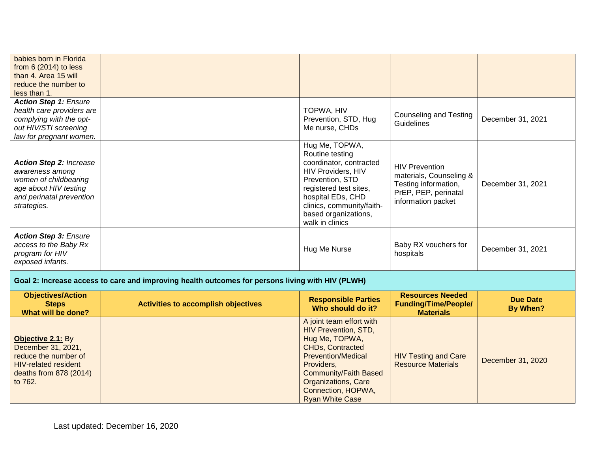| babies born in Florida<br>from $6(2014)$ to less<br>than 4. Area 15 will<br>reduce the number to<br>less than 1.                               |                                                                                                  |                                                                                                                                                                                                                              |                                                                                                                        |                   |
|------------------------------------------------------------------------------------------------------------------------------------------------|--------------------------------------------------------------------------------------------------|------------------------------------------------------------------------------------------------------------------------------------------------------------------------------------------------------------------------------|------------------------------------------------------------------------------------------------------------------------|-------------------|
| <b>Action Step 1: Ensure</b><br>health care providers are<br>complying with the opt-<br>out HIV/STI screening<br>law for pregnant women.       |                                                                                                  | TOPWA, HIV<br>Prevention, STD, Hug<br>Me nurse, CHDs                                                                                                                                                                         | <b>Counseling and Testing</b><br><b>Guidelines</b>                                                                     | December 31, 2021 |
| <b>Action Step 2: Increase</b><br>awareness among<br>women of childbearing<br>age about HIV testing<br>and perinatal prevention<br>strategies. |                                                                                                  | Hug Me, TOPWA,<br>Routine testing<br>coordinator, contracted<br>HIV Providers, HIV<br>Prevention, STD<br>registered test sites,<br>hospital EDs, CHD<br>clinics, community/faith-<br>based organizations,<br>walk in clinics | <b>HIV Prevention</b><br>materials, Counseling &<br>Testing information,<br>PrEP, PEP, perinatal<br>information packet | December 31, 2021 |
| <b>Action Step 3: Ensure</b><br>access to the Baby Rx<br>program for HIV<br>exposed infants.                                                   |                                                                                                  | Hug Me Nurse                                                                                                                                                                                                                 | Baby RX vouchers for<br>hospitals                                                                                      | December 31, 2021 |
|                                                                                                                                                | Goal 2: Increase access to care and improving health outcomes for persons living with HIV (PLWH) |                                                                                                                                                                                                                              |                                                                                                                        |                   |

| <b>Objectives/Action</b><br><b>Steps</b><br>What will be done?                                                                      | <b>Activities to accomplish objectives</b> | <b>Responsible Parties</b><br>Who should do it?                                                                                                                                                                                                               | <b>Resources Needed</b><br><b>Funding/Time/People/</b><br><b>Materials</b> | <b>Due Date</b><br>By When? |
|-------------------------------------------------------------------------------------------------------------------------------------|--------------------------------------------|---------------------------------------------------------------------------------------------------------------------------------------------------------------------------------------------------------------------------------------------------------------|----------------------------------------------------------------------------|-----------------------------|
| Objective 2.1: By<br>December 31, 2021,<br>reduce the number of<br><b>HIV-related resident</b><br>deaths from 878 (2014)<br>to 762. |                                            | A joint team effort with<br><b>HIV Prevention, STD,</b><br>Hug Me, TOPWA,<br><b>CHDs, Contracted</b><br><b>Prevention/Medical</b><br>Providers,<br><b>Community/Faith Based</b><br><b>Organizations, Care</b><br>Connection, HOPWA,<br><b>Ryan White Case</b> | <b>HIV Testing and Care</b><br><b>Resource Materials</b>                   | December 31, 2020           |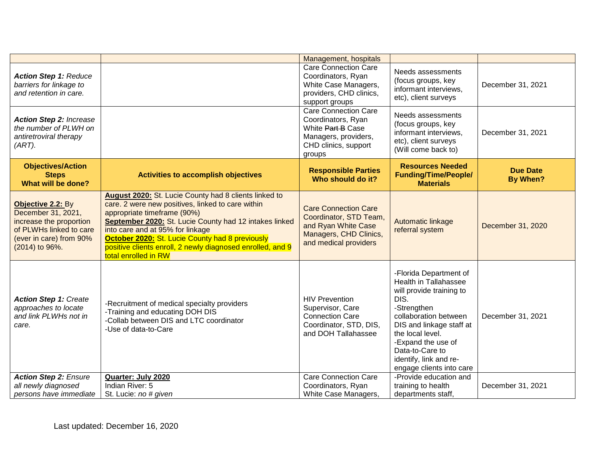|                                                                                                                                            |                                                                                                                                                                                                                                                                                                                                                                                  | Management, hospitals                                                                                                            |                                                                                                                                                                                                                                                                                   |                                    |
|--------------------------------------------------------------------------------------------------------------------------------------------|----------------------------------------------------------------------------------------------------------------------------------------------------------------------------------------------------------------------------------------------------------------------------------------------------------------------------------------------------------------------------------|----------------------------------------------------------------------------------------------------------------------------------|-----------------------------------------------------------------------------------------------------------------------------------------------------------------------------------------------------------------------------------------------------------------------------------|------------------------------------|
| <b>Action Step 1: Reduce</b><br>barriers for linkage to<br>and retention in care.                                                          |                                                                                                                                                                                                                                                                                                                                                                                  | <b>Care Connection Care</b><br>Coordinators, Ryan<br>White Case Managers,<br>providers, CHD clinics,<br>support groups           | Needs assessments<br>(focus groups, key<br>informant interviews,<br>etc), client surveys                                                                                                                                                                                          | December 31, 2021                  |
| <b>Action Step 2: Increase</b><br>the number of PLWH on<br>antiretroviral therapy<br>$(ART)$ .                                             |                                                                                                                                                                                                                                                                                                                                                                                  | <b>Care Connection Care</b><br>Coordinators, Ryan<br>White Part B Case<br>Managers, providers,<br>CHD clinics, support<br>groups | Needs assessments<br>(focus groups, key<br>informant interviews,<br>etc), client surveys<br>(Will come back to)                                                                                                                                                                   | December 31, 2021                  |
| <b>Objectives/Action</b><br><b>Steps</b><br>What will be done?                                                                             | <b>Activities to accomplish objectives</b>                                                                                                                                                                                                                                                                                                                                       | <b>Responsible Parties</b><br>Who should do it?                                                                                  | <b>Resources Needed</b><br><b>Funding/Time/People/</b><br><b>Materials</b>                                                                                                                                                                                                        | <b>Due Date</b><br><b>By When?</b> |
| Objective 2.2: By<br>December 31, 2021,<br>increase the proportion<br>of PLWHs linked to care<br>(ever in care) from 90%<br>(2014) to 96%. | August 2020: St. Lucie County had 8 clients linked to<br>care. 2 were new positives, linked to care within<br>appropriate timeframe (90%)<br>September 2020: St. Lucie County had 12 intakes linked<br>into care and at 95% for linkage<br>October 2020: St. Lucie County had 8 previously<br>positive clients enroll, 2 newly diagnosed enrolled, and 9<br>total enrolled in RW | <b>Care Connection Care</b><br>Coordinator, STD Team,<br>and Ryan White Case<br>Managers, CHD Clinics,<br>and medical providers  | <b>Automatic linkage</b><br>referral system                                                                                                                                                                                                                                       | December 31, 2020                  |
| <b>Action Step 1: Create</b><br>approaches to locate<br>and link PLWHs not in<br>care.                                                     | -Recruitment of medical specialty providers<br>-Training and educating DOH DIS<br>-Collab between DIS and LTC coordinator<br>-Use of data-to-Care                                                                                                                                                                                                                                | <b>HIV Prevention</b><br>Supervisor, Care<br><b>Connection Care</b><br>Coordinator, STD, DIS,<br>and DOH Tallahassee             | -Florida Department of<br><b>Health in Tallahassee</b><br>will provide training to<br>DIS.<br>-Strengthen<br>collaboration between<br>DIS and linkage staff at<br>the local level.<br>-Expand the use of<br>Data-to-Care to<br>identify, link and re-<br>engage clients into care | December 31, 2021                  |
| <b>Action Step 2: Ensure</b><br>all newly diagnosed<br>persons have immediate                                                              | Quarter: July 2020<br>Indian River: 5<br>St. Lucie: no # given                                                                                                                                                                                                                                                                                                                   | <b>Care Connection Care</b><br>Coordinators, Ryan<br>White Case Managers,                                                        | -Provide education and<br>training to health<br>departments staff,                                                                                                                                                                                                                | December 31, 2021                  |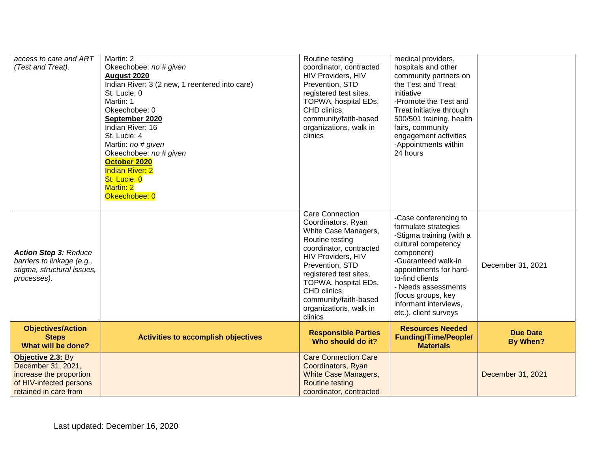| access to care and ART<br>(Test and Treat).                                                                            | Martin: 2<br>Okeechobee: no # given<br><b>August 2020</b><br>Indian River: 3 (2 new, 1 reentered into care)<br>St. Lucie: 0<br>Martin: 1<br>Okeechobee: 0<br>September 2020<br>Indian River: 16<br>St. Lucie: 4<br>Martin: no # given<br>Okeechobee: no # given<br>October 2020<br><b>Indian River: 2</b><br>St. Lucie: 0<br><b>Martin: 2</b><br>Okeechobee: 0 | Routine testing<br>coordinator, contracted<br>HIV Providers, HIV<br>Prevention, STD<br>registered test sites,<br>TOPWA, hospital EDs,<br>CHD clinics,<br>community/faith-based<br>organizations, walk in<br>clinics                                                                         | medical providers,<br>hospitals and other<br>community partners on<br>the Test and Treat<br>initiative<br>-Promote the Test and<br>Treat initiative through<br>500/501 training, health<br>fairs, community<br>engagement activities<br>-Appointments within<br>24 hours          |                                    |
|------------------------------------------------------------------------------------------------------------------------|----------------------------------------------------------------------------------------------------------------------------------------------------------------------------------------------------------------------------------------------------------------------------------------------------------------------------------------------------------------|---------------------------------------------------------------------------------------------------------------------------------------------------------------------------------------------------------------------------------------------------------------------------------------------|-----------------------------------------------------------------------------------------------------------------------------------------------------------------------------------------------------------------------------------------------------------------------------------|------------------------------------|
| <b>Action Step 3: Reduce</b><br>barriers to linkage (e.g.,<br>stigma, structural issues,<br>processes).                |                                                                                                                                                                                                                                                                                                                                                                | Care Connection<br>Coordinators, Ryan<br>White Case Managers,<br>Routine testing<br>coordinator, contracted<br><b>HIV Providers, HIV</b><br>Prevention, STD<br>registered test sites,<br>TOPWA, hospital EDs,<br>CHD clinics,<br>community/faith-based<br>organizations, walk in<br>clinics | -Case conferencing to<br>formulate strategies<br>-Stigma training (with a<br>cultural competency<br>component)<br>-Guaranteed walk-in<br>appointments for hard-<br>to-find clients<br>- Needs assessments<br>(focus groups, key<br>informant interviews,<br>etc.), client surveys | December 31, 2021                  |
| <b>Objectives/Action</b><br><b>Steps</b><br>What will be done?                                                         | <b>Activities to accomplish objectives</b>                                                                                                                                                                                                                                                                                                                     | <b>Responsible Parties</b><br>Who should do it?                                                                                                                                                                                                                                             | <b>Resources Needed</b><br><b>Funding/Time/People/</b><br><b>Materials</b>                                                                                                                                                                                                        | <b>Due Date</b><br><b>By When?</b> |
| Objective 2.3: By<br>December 31, 2021,<br>increase the proportion<br>of HIV-infected persons<br>retained in care from |                                                                                                                                                                                                                                                                                                                                                                | <b>Care Connection Care</b><br>Coordinators, Ryan<br><b>White Case Managers,</b><br><b>Routine testing</b><br>coordinator, contracted                                                                                                                                                       |                                                                                                                                                                                                                                                                                   | December 31, 2021                  |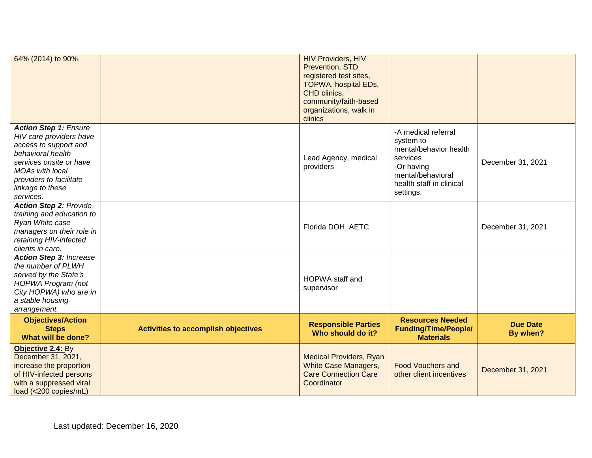| 64% (2014) to 90%.                                                                                                                                                                                                     |                                     | <b>HIV Providers, HIV</b><br>Prevention, STD<br>registered test sites,<br>TOPWA, hospital EDs,<br>CHD clinics,<br>community/faith-based<br>organizations, walk in<br>clinics |                                                                                                                                                    |                             |
|------------------------------------------------------------------------------------------------------------------------------------------------------------------------------------------------------------------------|-------------------------------------|------------------------------------------------------------------------------------------------------------------------------------------------------------------------------|----------------------------------------------------------------------------------------------------------------------------------------------------|-----------------------------|
| <b>Action Step 1: Ensure</b><br>HIV care providers have<br>access to support and<br>behavioral health<br>services onsite or have<br><b>MOAs with local</b><br>providers to facilitate<br>linkage to these<br>services. |                                     | Lead Agency, medical<br>providers                                                                                                                                            | -A medical referral<br>system to<br>mental/behavior health<br>services<br>-Or having<br>mental/behavioral<br>health staff in clinical<br>settings. | December 31, 2021           |
| <b>Action Step 2: Provide</b><br>training and education to<br>Ryan White case<br>managers on their role in<br>retaining HIV-infected<br>clients in care.                                                               |                                     | Florida DOH, AETC                                                                                                                                                            |                                                                                                                                                    | December 31, 2021           |
| <b>Action Step 3: Increase</b><br>the number of PLWH<br>served by the State's<br>HOPWA Program (not<br>City HOPWA) who are in<br>a stable housing<br>arrangement.                                                      |                                     | HOPWA staff and<br>supervisor                                                                                                                                                |                                                                                                                                                    |                             |
| <b>Objectives/Action</b><br><b>Steps</b><br>What will be done?                                                                                                                                                         | Activities to accomplish objectives | <b>Responsible Parties</b><br>Who should do it?                                                                                                                              | <b>Resources Needed</b><br><b>Funding/Time/People/</b><br><b>Materials</b>                                                                         | <b>Due Date</b><br>By when? |
| Objective 2.4: By<br>December 31, 2021,<br>increase the proportion<br>of HIV-infected persons<br>with a suppressed viral<br>load (<200 copies/mL)                                                                      |                                     | <b>Medical Providers, Ryan</b><br><b>White Case Managers,</b><br><b>Care Connection Care</b><br>Coordinator                                                                  | <b>Food Vouchers and</b><br>other client incentives                                                                                                | December 31, 2021           |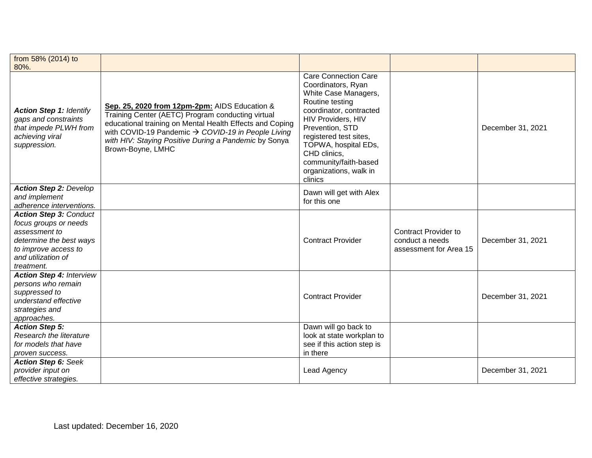| from 58% (2014) to<br>80%.                                                                                                                                     |                                                                                                                                                                                                                                                                                                    |                                                                                                                                                                                                                                                                                                  |                                                                          |                   |
|----------------------------------------------------------------------------------------------------------------------------------------------------------------|----------------------------------------------------------------------------------------------------------------------------------------------------------------------------------------------------------------------------------------------------------------------------------------------------|--------------------------------------------------------------------------------------------------------------------------------------------------------------------------------------------------------------------------------------------------------------------------------------------------|--------------------------------------------------------------------------|-------------------|
| <b>Action Step 1: Identify</b><br>gaps and constraints<br>that impede PLWH from<br>achieving viral<br>suppression.                                             | Sep. 25, 2020 from 12pm-2pm: AIDS Education &<br>Training Center (AETC) Program conducting virtual<br>educational training on Mental Health Effects and Coping<br>with COVID-19 Pandemic → COVID-19 in People Living<br>with HIV: Staying Positive During a Pandemic by Sonya<br>Brown-Boyne, LMHC | <b>Care Connection Care</b><br>Coordinators, Ryan<br>White Case Managers,<br>Routine testing<br>coordinator, contracted<br>HIV Providers, HIV<br>Prevention, STD<br>registered test sites,<br>TOPWA, hospital EDs,<br>CHD clinics,<br>community/faith-based<br>organizations, walk in<br>clinics |                                                                          | December 31, 2021 |
| <b>Action Step 2: Develop</b><br>and implement<br>adherence interventions.                                                                                     |                                                                                                                                                                                                                                                                                                    | Dawn will get with Alex<br>for this one                                                                                                                                                                                                                                                          |                                                                          |                   |
| <b>Action Step 3: Conduct</b><br>focus groups or needs<br>assessment to<br>determine the best ways<br>to improve access to<br>and utilization of<br>treatment. |                                                                                                                                                                                                                                                                                                    | <b>Contract Provider</b>                                                                                                                                                                                                                                                                         | <b>Contract Provider to</b><br>conduct a needs<br>assessment for Area 15 | December 31, 2021 |
| <b>Action Step 4: Interview</b><br>persons who remain<br>suppressed to<br>understand effective<br>strategies and<br>approaches.                                |                                                                                                                                                                                                                                                                                                    | <b>Contract Provider</b>                                                                                                                                                                                                                                                                         |                                                                          | December 31, 2021 |
| <b>Action Step 5:</b><br>Research the literature<br>for models that have<br>proven success.                                                                    |                                                                                                                                                                                                                                                                                                    | Dawn will go back to<br>look at state workplan to<br>see if this action step is<br>in there                                                                                                                                                                                                      |                                                                          |                   |
| <b>Action Step 6: Seek</b><br>provider input on<br>effective strategies.                                                                                       |                                                                                                                                                                                                                                                                                                    | Lead Agency                                                                                                                                                                                                                                                                                      |                                                                          | December 31, 2021 |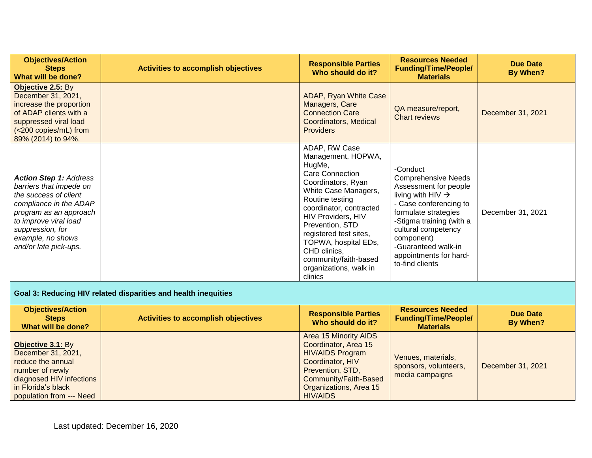| <b>Objectives/Action</b><br><b>Steps</b><br>What will be done?                                                                                                                                                                   | <b>Activities to accomplish objectives</b>                     | <b>Responsible Parties</b><br>Who should do it?                                                                                                                                                                                                                                                                                       | <b>Resources Needed</b><br><b>Funding/Time/People/</b><br><b>Materials</b>                                                                                                                                                                                                              | <b>Due Date</b><br><b>By When?</b> |
|----------------------------------------------------------------------------------------------------------------------------------------------------------------------------------------------------------------------------------|----------------------------------------------------------------|---------------------------------------------------------------------------------------------------------------------------------------------------------------------------------------------------------------------------------------------------------------------------------------------------------------------------------------|-----------------------------------------------------------------------------------------------------------------------------------------------------------------------------------------------------------------------------------------------------------------------------------------|------------------------------------|
| Objective 2.5: By<br>December 31, 2021,<br>increase the proportion<br>of ADAP clients with a<br>suppressed viral load<br>(<200 copies/mL) from<br>89% (2014) to 94%.                                                             |                                                                | ADAP, Ryan White Case<br>Managers, Care<br><b>Connection Care</b><br><b>Coordinators, Medical</b><br><b>Providers</b>                                                                                                                                                                                                                 | QA measure/report,<br><b>Chart reviews</b>                                                                                                                                                                                                                                              | December 31, 2021                  |
| <b>Action Step 1: Address</b><br>barriers that impede on<br>the success of client<br>compliance in the ADAP<br>program as an approach<br>to improve viral load<br>suppression, for<br>example, no shows<br>and/or late pick-ups. |                                                                | ADAP, RW Case<br>Management, HOPWA,<br>HugMe,<br>Care Connection<br>Coordinators, Ryan<br>White Case Managers,<br>Routine testing<br>coordinator, contracted<br>HIV Providers, HIV<br>Prevention, STD<br>registered test sites,<br>TOPWA, hospital EDs,<br>CHD clinics,<br>community/faith-based<br>organizations, walk in<br>clinics | -Conduct<br><b>Comprehensive Needs</b><br>Assessment for people<br>living with HIV $\rightarrow$<br>- Case conferencing to<br>formulate strategies<br>-Stigma training (with a<br>cultural competency<br>component)<br>-Guaranteed walk-in<br>appointments for hard-<br>to-find clients | December 31, 2021                  |
|                                                                                                                                                                                                                                  | Goal 3: Reducing HIV related disparities and health inequities |                                                                                                                                                                                                                                                                                                                                       |                                                                                                                                                                                                                                                                                         |                                    |
| <b>Objectives/Action</b><br><b>Steps</b><br>What will be done?                                                                                                                                                                   | <b>Activities to accomplish objectives</b>                     | <b>Responsible Parties</b><br>Who should do it?                                                                                                                                                                                                                                                                                       | <b>Resources Needed</b><br><b>Funding/Time/People/</b><br><b>Materials</b>                                                                                                                                                                                                              | <b>Due Date</b><br><b>By When?</b> |
| Objective 3.1: By<br>December 31, 2021,<br>reduce the annual<br>number of newly<br>diagnosed HIV infections<br>in Florida's black<br>population from --- Need                                                                    |                                                                | <b>Area 15 Minority AIDS</b><br>Coordinator, Area 15<br><b>HIV/AIDS Program</b><br>Coordinator, HIV<br>Prevention, STD,<br>Community/Faith-Based<br>Organizations, Area 15<br><b>HIV/AIDS</b>                                                                                                                                         | Venues, materials,<br>sponsors, volunteers,<br>media campaigns                                                                                                                                                                                                                          | December 31, 2021                  |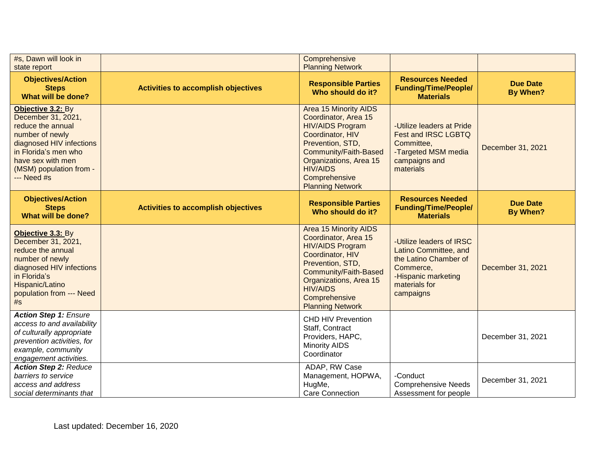| #s, Dawn will look in<br>state report                                                                                                                                                               |                                            | Comprehensive<br><b>Planning Network</b>                                                                                                                                                                                                  |                                                                                                                                              |                                    |
|-----------------------------------------------------------------------------------------------------------------------------------------------------------------------------------------------------|--------------------------------------------|-------------------------------------------------------------------------------------------------------------------------------------------------------------------------------------------------------------------------------------------|----------------------------------------------------------------------------------------------------------------------------------------------|------------------------------------|
| <b>Objectives/Action</b><br><b>Steps</b><br>What will be done?                                                                                                                                      | <b>Activities to accomplish objectives</b> | <b>Responsible Parties</b><br>Who should do it?                                                                                                                                                                                           | <b>Resources Needed</b><br><b>Funding/Time/People/</b><br><b>Materials</b>                                                                   | <b>Due Date</b><br><b>By When?</b> |
| Objective 3.2: By<br>December 31, 2021,<br>reduce the annual<br>number of newly<br>diagnosed HIV infections<br>in Florida's men who<br>have sex with men<br>(MSM) population from -<br>$--$ Need #s |                                            | <b>Area 15 Minority AIDS</b><br>Coordinator, Area 15<br><b>HIV/AIDS Program</b><br>Coordinator, HIV<br>Prevention, STD,<br>Community/Faith-Based<br>Organizations, Area 15<br><b>HIV/AIDS</b><br>Comprehensive<br><b>Planning Network</b> | -Utilize leaders at Pride<br>Fest and IRSC LGBTQ<br>Committee,<br>-Targeted MSM media<br>campaigns and<br>materials                          | December 31, 2021                  |
| <b>Objectives/Action</b><br><b>Steps</b><br>What will be done?                                                                                                                                      | <b>Activities to accomplish objectives</b> | <b>Responsible Parties</b><br>Who should do it?                                                                                                                                                                                           | <b>Resources Needed</b><br><b>Funding/Time/People/</b><br><b>Materials</b>                                                                   | <b>Due Date</b><br>By When?        |
| Objective 3.3: By<br>December 31, 2021,<br>reduce the annual<br>number of newly<br>diagnosed HIV infections<br>in Florida's<br>Hispanic/Latino<br>population from --- Need<br>#s                    |                                            | <b>Area 15 Minority AIDS</b><br>Coordinator, Area 15<br><b>HIV/AIDS Program</b><br>Coordinator, HIV<br>Prevention, STD,<br>Community/Faith-Based<br>Organizations, Area 15<br><b>HIV/AIDS</b><br>Comprehensive<br><b>Planning Network</b> | -Utilize leaders of IRSC<br>Latino Committee, and<br>the Latino Chamber of<br>Commerce,<br>-Hispanic marketing<br>materials for<br>campaigns | December 31, 2021                  |
| <b>Action Step 1: Ensure</b><br>access to and availability<br>of culturally appropriate<br>prevention activities, for<br>example, community<br>engagement activities.                               |                                            | <b>CHD HIV Prevention</b><br>Staff, Contract<br>Providers, HAPC,<br><b>Minority AIDS</b><br>Coordinator                                                                                                                                   |                                                                                                                                              | December 31, 2021                  |
| <b>Action Step 2: Reduce</b><br>barriers to service<br>access and address<br>social determinants that                                                                                               |                                            | ADAP, RW Case<br>Management, HOPWA,<br>HugMe,<br><b>Care Connection</b>                                                                                                                                                                   | -Conduct<br><b>Comprehensive Needs</b><br>Assessment for people                                                                              | December 31, 2021                  |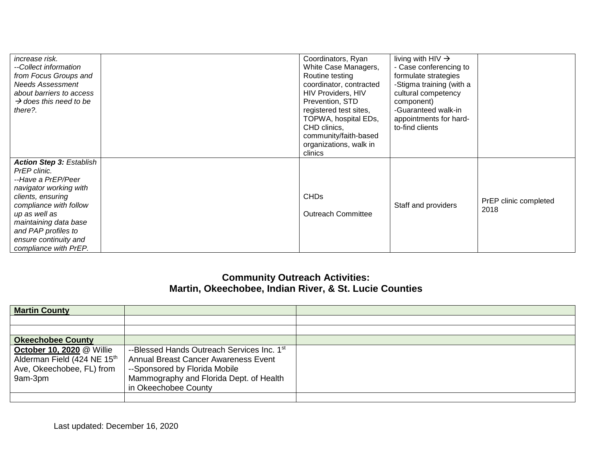| increase risk.<br>--Collect information<br>from Focus Groups and<br><b>Needs Assessment</b><br>about barriers to access<br>$\rightarrow$ does this need to be<br>there?.                                                                                          | Coordinators, Ryan<br>White Case Managers,<br>Routine testing<br>coordinator, contracted<br><b>HIV Providers, HIV</b><br>Prevention, STD<br>registered test sites,<br>TOPWA, hospital EDs,<br>CHD clinics,<br>community/faith-based<br>organizations, walk in | living with $HIV \rightarrow$<br>- Case conferencing to<br>formulate strategies<br>-Stigma training (with a<br>cultural competency<br>component)<br>-Guaranteed walk-in<br>appointments for hard-<br>to-find clients |                               |
|-------------------------------------------------------------------------------------------------------------------------------------------------------------------------------------------------------------------------------------------------------------------|---------------------------------------------------------------------------------------------------------------------------------------------------------------------------------------------------------------------------------------------------------------|----------------------------------------------------------------------------------------------------------------------------------------------------------------------------------------------------------------------|-------------------------------|
| <b>Action Step 3: Establish</b><br>PrEP clinic.<br>--Have a PrEP/Peer<br>navigator working with<br>clients, ensuring<br>compliance with follow<br>up as well as<br>maintaining data base<br>and PAP profiles to<br>ensure continuity and<br>compliance with PrEP. | clinics<br><b>CHDs</b><br><b>Outreach Committee</b>                                                                                                                                                                                                           | Staff and providers                                                                                                                                                                                                  | PrEP clinic completed<br>2018 |

## **Community Outreach Activities: Martin, Okeechobee, Indian River, & St. Lucie Counties**

| <b>Martin County</b>                                                                                    |                                                                                                                                                                                               |  |
|---------------------------------------------------------------------------------------------------------|-----------------------------------------------------------------------------------------------------------------------------------------------------------------------------------------------|--|
|                                                                                                         |                                                                                                                                                                                               |  |
|                                                                                                         |                                                                                                                                                                                               |  |
| <b>Okeechobee County</b>                                                                                |                                                                                                                                                                                               |  |
| <b>October 10, 2020 @ Willie</b><br>Alderman Field (424 NE 15th<br>Ave, Okeechobee, FL) from<br>9am-3pm | --Blessed Hands Outreach Services Inc. 1st<br><b>Annual Breast Cancer Awareness Event</b><br>--Sponsored by Florida Mobile<br>Mammography and Florida Dept. of Health<br>in Okeechobee County |  |
|                                                                                                         |                                                                                                                                                                                               |  |